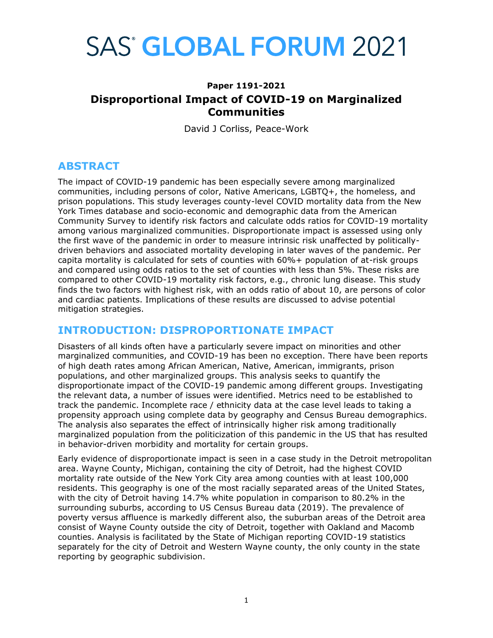# **SAS<sup>®</sup> GLOBAL FORUM 2021**

# **Paper 1191-2021 Disproportional Impact of COVID-19 on Marginalized Communities**

David J Corliss, Peace-Work

# **ABSTRACT**

The impact of COVID-19 pandemic has been especially severe among marginalized communities, including persons of color, Native Americans, LGBTQ+, the homeless, and prison populations. This study leverages county-level COVID mortality data from the New York Times database and socio-economic and demographic data from the American Community Survey to identify risk factors and calculate odds ratios for COVID-19 mortality among various marginalized communities. Disproportionate impact is assessed using only the first wave of the pandemic in order to measure intrinsic risk unaffected by politicallydriven behaviors and associated mortality developing in later waves of the pandemic. Per capita mortality is calculated for sets of counties with 60%+ population of at-risk groups and compared using odds ratios to the set of counties with less than 5%. These risks are compared to other COVID-19 mortality risk factors, e.g., chronic lung disease. This study finds the two factors with highest risk, with an odds ratio of about 10, are persons of color and cardiac patients. Implications of these results are discussed to advise potential mitigation strategies.

## **INTRODUCTION: DISPROPORTIONATE IMPACT**

Disasters of all kinds often have a particularly severe impact on minorities and other marginalized communities, and COVID-19 has been no exception. There have been reports of high death rates among African American, Native, American, immigrants, prison populations, and other marginalized groups. This analysis seeks to quantify the disproportionate impact of the COVID-19 pandemic among different groups. Investigating the relevant data, a number of issues were identified. Metrics need to be established to track the pandemic. Incomplete race / ethnicity data at the case level leads to taking a propensity approach using complete data by geography and Census Bureau demographics. The analysis also separates the effect of intrinsically higher risk among traditionally marginalized population from the politicization of this pandemic in the US that has resulted in behavior-driven morbidity and mortality for certain groups.

Early evidence of disproportionate impact is seen in a case study in the Detroit metropolitan area. Wayne County, Michigan, containing the city of Detroit, had the highest COVID mortality rate outside of the New York City area among counties with at least 100,000 residents. This geography is one of the most racially separated areas of the United States, with the city of Detroit having 14.7% white population in comparison to 80.2% in the surrounding suburbs, according to US Census Bureau data (2019). The prevalence of poverty versus affluence is markedly different also, the suburban areas of the Detroit area consist of Wayne County outside the city of Detroit, together with Oakland and Macomb counties. Analysis is facilitated by the State of Michigan reporting COVID-19 statistics separately for the city of Detroit and Western Wayne county, the only county in the state reporting by geographic subdivision.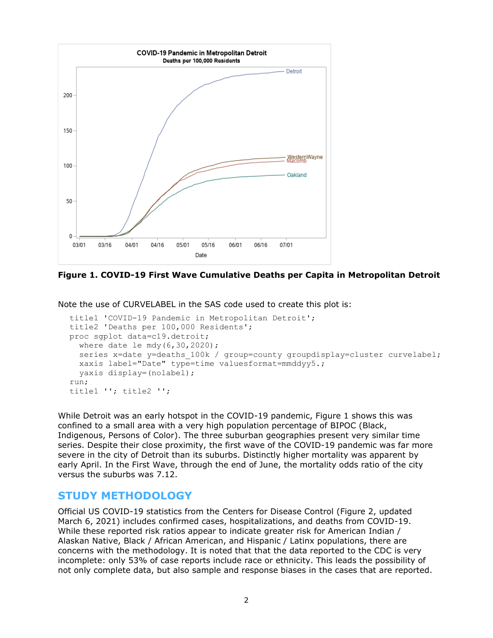

**Figure 1. COVID-19 First Wave Cumulative Deaths per Capita in Metropolitan Detroit**

Note the use of CURVELABEL in the SAS code used to create this plot is:

```
title1 'COVID-19 Pandemic in Metropolitan Detroit'; 
title2 'Deaths per 100,000 Residents'; 
proc sgplot data=c19.detroit; 
   where date le mdy(6,30,2020);
  series x=date y=deaths 100k / group=county groupdisplay=cluster curvelabel;
   xaxis label="Date" type=time valuesformat=mmddyy5.; 
   yaxis display=(nolabel);
run; 
title1 ''; title2 '';
```
While Detroit was an early hotspot in the COVID-19 pandemic, Figure 1 shows this was confined to a small area with a very high population percentage of BIPOC (Black, Indigenous, Persons of Color). The three suburban geographies present very similar time series. Despite their close proximity, the first wave of the COVID-19 pandemic was far more severe in the city of Detroit than its suburbs. Distinctly higher mortality was apparent by early April. In the First Wave, through the end of June, the mortality odds ratio of the city versus the suburbs was 7.12.

### **STUDY METHODOLOGY**

Official US COVID-19 statistics from the Centers for Disease Control (Figure 2, updated March 6, 2021) includes confirmed cases, hospitalizations, and deaths from COVID-19. While these reported risk ratios appear to indicate greater risk for American Indian / Alaskan Native, Black / African American, and Hispanic / Latinx populations, there are concerns with the methodology. It is noted that that the data reported to the CDC is very incomplete: only 53% of case reports include race or ethnicity. This leads the possibility of not only complete data, but also sample and response biases in the cases that are reported.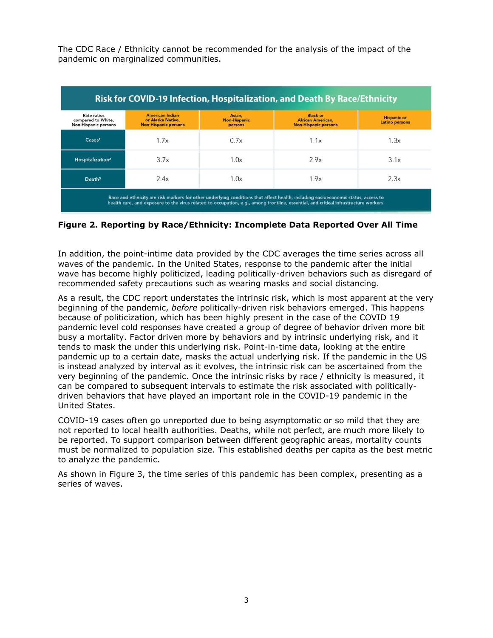The CDC Race / Ethnicity cannot be recommended for the analysis of the impact of the pandemic on marginalized communities.

| <b>Rate ratios</b><br>compared to White,<br><b>Non-Hispanic persons</b> | <b>American Indian</b><br>or Alaska Native,<br><b>Non-Hispanic persons</b> | Asian,<br><b>Non-Hispanic</b><br>persons | <b>Black or</b><br><b>African American,</b><br><b>Non-Hispanic persons</b> | <b>Hispanic or</b><br>Latino persons |
|-------------------------------------------------------------------------|----------------------------------------------------------------------------|------------------------------------------|----------------------------------------------------------------------------|--------------------------------------|
| $\text{Case} \mathsf{s}^1$                                              | 1.7x                                                                       | 0.7x                                     | 1.1x                                                                       | 1.3x                                 |
| Hospitalization <sup>2</sup>                                            | 3.7x                                                                       | 1.0x                                     | 2.9x                                                                       | 3.1x                                 |
| Death <sup>3</sup>                                                      | 2.4x                                                                       | 1.0x                                     | 1.9x                                                                       | 2.3x                                 |

#### **Figure 2. Reporting by Race/Ethnicity: Incomplete Data Reported Over All Time**

In addition, the point-intime data provided by the CDC averages the time series across all waves of the pandemic. In the United States, response to the pandemic after the initial wave has become highly politicized, leading politically-driven behaviors such as disregard of recommended safety precautions such as wearing masks and social distancing.

As a result, the CDC report understates the intrinsic risk, which is most apparent at the very beginning of the pandemic, *before* politically-driven risk behaviors emerged. This happens because of politicization, which has been highly present in the case of the COVID 19 pandemic level cold responses have created a group of degree of behavior driven more bit busy a mortality. Factor driven more by behaviors and by intrinsic underlying risk, and it tends to mask the under this underlying risk. Point-in-time data, looking at the entire pandemic up to a certain date, masks the actual underlying risk. If the pandemic in the US is instead analyzed by interval as it evolves, the intrinsic risk can be ascertained from the very beginning of the pandemic. Once the intrinsic risks by race / ethnicity is measured, it can be compared to subsequent intervals to estimate the risk associated with politicallydriven behaviors that have played an important role in the COVID-19 pandemic in the United States.

COVID-19 cases often go unreported due to being asymptomatic or so mild that they are not reported to local health authorities. Deaths, while not perfect, are much more likely to be reported. To support comparison between different geographic areas, mortality counts must be normalized to population size. This established deaths per capita as the best metric to analyze the pandemic.

As shown in Figure 3, the time series of this pandemic has been complex, presenting as a series of waves.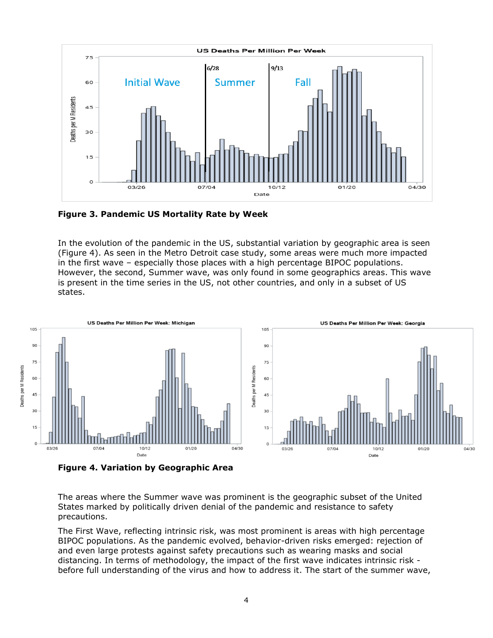

**Figure 3. Pandemic US Mortality Rate by Week**

In the evolution of the pandemic in the US, substantial variation by geographic area is seen (Figure 4). As seen in the Metro Detroit case study, some areas were much more impacted in the first wave – especially those places with a high percentage BIPOC populations. However, the second, Summer wave, was only found in some geographics areas. This wave is present in the time series in the US, not other countries, and only in a subset of US states.



**Figure 4. Variation by Geographic Area**

The areas where the Summer wave was prominent is the geographic subset of the United States marked by politically driven denial of the pandemic and resistance to safety precautions.

The First Wave, reflecting intrinsic risk, was most prominent is areas with high percentage BIPOC populations. As the pandemic evolved, behavior-driven risks emerged: rejection of and even large protests against safety precautions such as wearing masks and social distancing. In terms of methodology, the impact of the first wave indicates intrinsic risk before full understanding of the virus and how to address it. The start of the summer wave,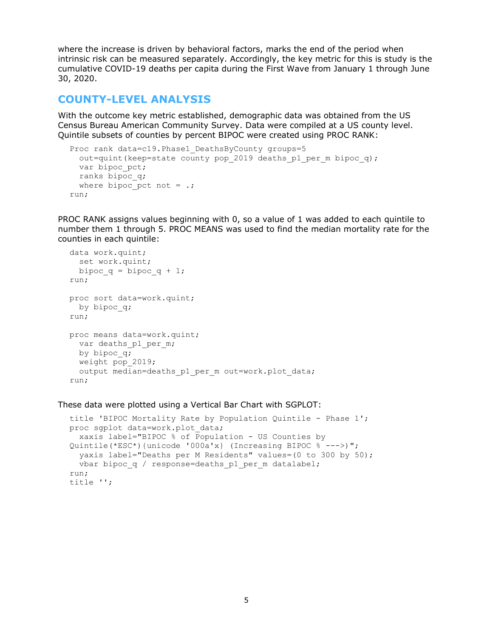where the increase is driven by behavioral factors, marks the end of the period when intrinsic risk can be measured separately. Accordingly, the key metric for this is study is the cumulative COVID-19 deaths per capita during the First Wave from January 1 through June 30, 2020.

#### **COUNTY-LEVEL ANALYSIS**

With the outcome key metric established, demographic data was obtained from the US Census Bureau American Community Survey. Data were compiled at a US county level. Quintile subsets of counties by percent BIPOC were created using PROC RANK:

```
Proc rank data=c19. Phase1 DeathsByCounty groups=5
  out=quint(keep=state county pop 2019 deaths p1 per m bipoc q);
  var bipoc_pct;
  ranks bipoc_q;
 where bipoc_pct not = \cdot;
run;
```
PROC RANK assigns values beginning with 0, so a value of 1 was added to each quintile to number them 1 through 5. PROC MEANS was used to find the median mortality rate for the counties in each quintile:

```
data work.quint; 
   set work.quint; 
 bipoc q = bipoc q + 1;
run;
proc sort data=work.quint; 
 by bipoc q;
run;
proc means data=work.quint; 
 var deaths p1 per m;
 by bipoc q;
  weight pop_2019; 
  output median=deaths p1 per m out=work.plot data;
run;
```
#### These data were plotted using a Vertical Bar Chart with SGPLOT:

```
title 'BIPOC Mortality Rate by Population Quintile - Phase 1';
proc sgplot data=work.plot_data;
   xaxis label="BIPOC % of Population - US Counties by 
Quintile(*ESC*){unicode '000a'x} (Increasing BIPOC % --->)";
   yaxis label="Deaths per M Residents" values=(0 to 300 by 50);
  vbar bipoc q / response=deaths p1 per m datalabel;
run; 
title '';
```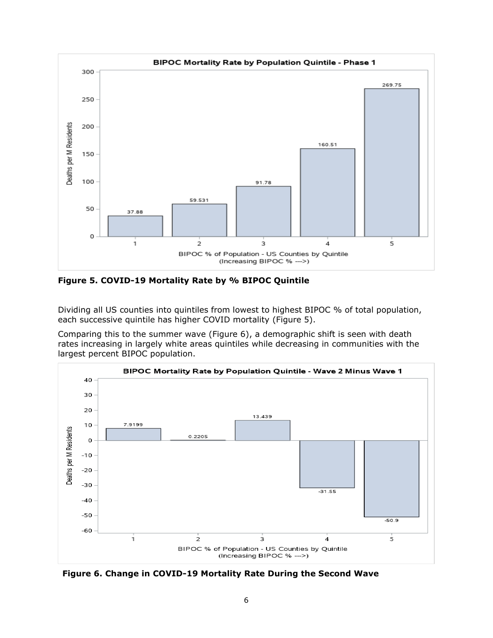

**Figure 5. COVID-19 Mortality Rate by % BIPOC Quintile** 

Dividing all US counties into quintiles from lowest to highest BIPOC % of total population, each successive quintile has higher COVID mortality (Figure 5).

Comparing this to the summer wave (Figure 6), a demographic shift is seen with death rates increasing in largely white areas quintiles while decreasing in communities with the largest percent BIPOC population.



 **Figure 6. Change in COVID-19 Mortality Rate During the Second Wave**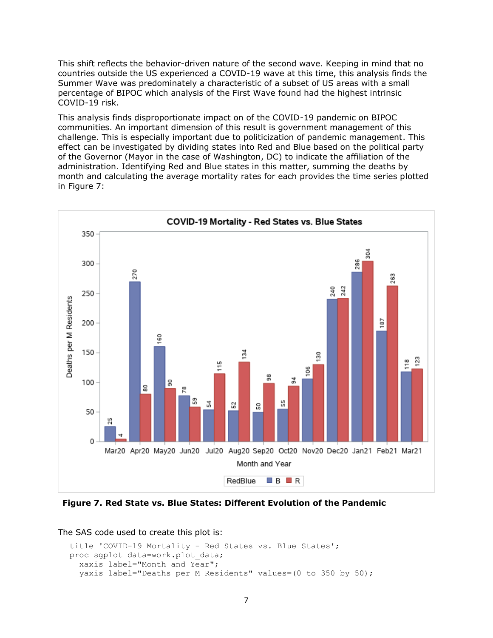This shift reflects the behavior-driven nature of the second wave. Keeping in mind that no countries outside the US experienced a COVID-19 wave at this time, this analysis finds the Summer Wave was predominately a characteristic of a subset of US areas with a small percentage of BIPOC which analysis of the First Wave found had the highest intrinsic COVID-19 risk.

This analysis finds disproportionate impact on of the COVID-19 pandemic on BIPOC communities. An important dimension of this result is government management of this challenge. This is especially important due to politicization of pandemic management. This effect can be investigated by dividing states into Red and Blue based on the political party of the Governor (Mayor in the case of Washington, DC) to indicate the affiliation of the administration. Identifying Red and Blue states in this matter, summing the deaths by month and calculating the average mortality rates for each provides the time series plotted in Figure 7:



 **Figure 7. Red State vs. Blue States: Different Evolution of the Pandemic**

The SAS code used to create this plot is:

```
title 'COVID-19 Mortality - Red States vs. Blue States';
proc sgplot data=work.plot_data; 
   xaxis label="Month and Year";
   yaxis label="Deaths per M Residents" values=(0 to 350 by 50);
```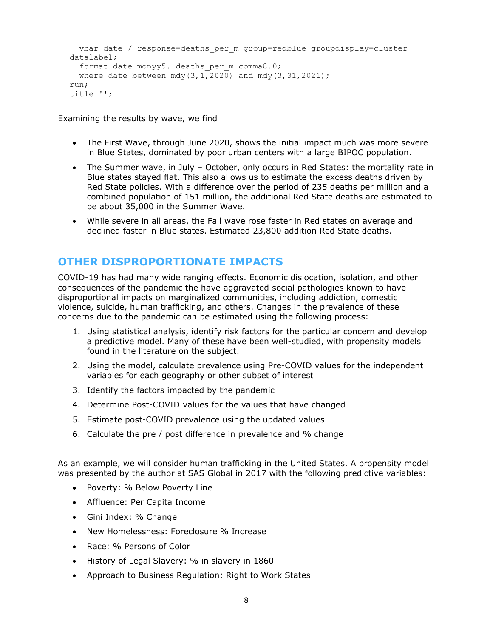```
 vbar date / response=deaths_per_m group=redblue groupdisplay=cluster 
datalabel; 
  format date monyy5. deaths per m comma8.0;
 where date between mdy(3,1,2020) and mdy(3,31,2021);
run; 
title '';
```
Examining the results by wave, we find

- The First Wave, through June 2020, shows the initial impact much was more severe in Blue States, dominated by poor urban centers with a large BIPOC population.
- The Summer wave, in July October, only occurs in Red States: the mortality rate in Blue states stayed flat. This also allows us to estimate the excess deaths driven by Red State policies. With a difference over the period of 235 deaths per million and a combined population of 151 million, the additional Red State deaths are estimated to be about 35,000 in the Summer Wave.
- While severe in all areas, the Fall wave rose faster in Red states on average and declined faster in Blue states. Estimated 23,800 addition Red State deaths.

# **OTHER DISPROPORTIONATE IMPACTS**

COVID-19 has had many wide ranging effects. Economic dislocation, isolation, and other consequences of the pandemic the have aggravated social pathologies known to have disproportional impacts on marginalized communities, including addiction, domestic violence, suicide, human trafficking, and others. Changes in the prevalence of these concerns due to the pandemic can be estimated using the following process:

- 1. Using statistical analysis, identify risk factors for the particular concern and develop a predictive model. Many of these have been well-studied, with propensity models found in the literature on the subject.
- 2. Using the model, calculate prevalence using Pre-COVID values for the independent variables for each geography or other subset of interest
- 3. Identify the factors impacted by the pandemic
- 4. Determine Post-COVID values for the values that have changed
- 5. Estimate post-COVID prevalence using the updated values
- 6. Calculate the pre / post difference in prevalence and % change

As an example, we will consider human trafficking in the United States. A propensity model was presented by the author at SAS Global in 2017 with the following predictive variables:

- Poverty: % Below Poverty Line
- Affluence: Per Capita Income
- Gini Index: % Change
- New Homelessness: Foreclosure % Increase
- Race: % Persons of Color
- History of Legal Slavery: % in slavery in 1860
- Approach to Business Regulation: Right to Work States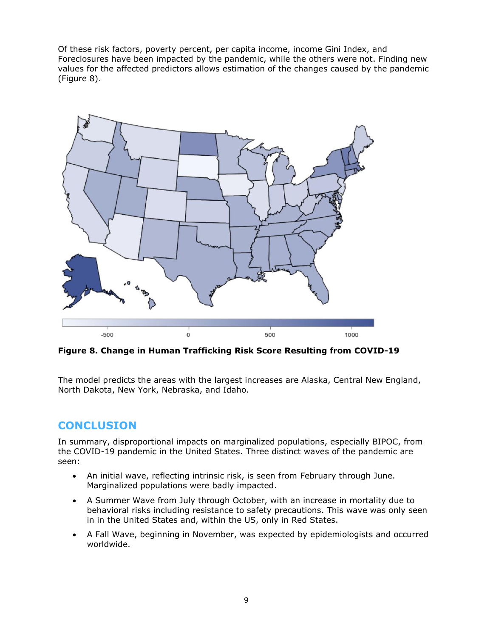Of these risk factors, poverty percent, per capita income, income Gini Index, and Foreclosures have been impacted by the pandemic, while the others were not. Finding new values for the affected predictors allows estimation of the changes caused by the pandemic (Figure 8).



**Figure 8. Change in Human Trafficking Risk Score Resulting from COVID-19**

The model predicts the areas with the largest increases are Alaska, Central New England, North Dakota, New York, Nebraska, and Idaho.

# **CONCLUSION**

In summary, disproportional impacts on marginalized populations, especially BIPOC, from the COVID-19 pandemic in the United States. Three distinct waves of the pandemic are seen:

- An initial wave, reflecting intrinsic risk, is seen from February through June. Marginalized populations were badly impacted.
- A Summer Wave from July through October, with an increase in mortality due to behavioral risks including resistance to safety precautions. This wave was only seen in in the United States and, within the US, only in Red States.
- A Fall Wave, beginning in November, was expected by epidemiologists and occurred worldwide.